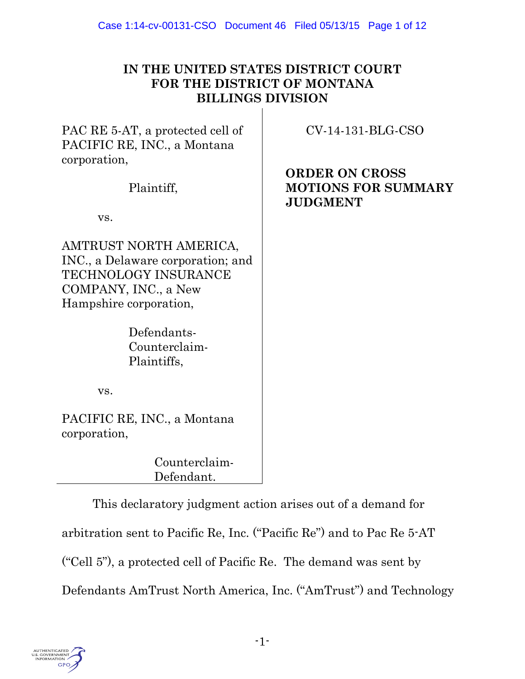| IN THE UNITED STATES DISTRICT COURT |
|-------------------------------------|
| FOR THE DISTRICT OF MONTANA         |
| <b>BILLINGS DIVISION</b>            |

PAC RE 5-AT, a protected cell of PACIFIC RE, INC., a Montana corporation,

Plaintiff,

vs.

AMTRUST NORTH AMERICA, INC., a Delaware corporation; and TECHNOLOGY INSURANCE COMPANY, INC., a New Hampshire corporation,

> Defendants-Counterclaim-Plaintiffs,

CV-14-131-BLG-CSO

**ORDER ON CROSS MOTIONS FOR SUMMARY JUDGMENT**

vs.

PACIFIC RE, INC., a Montana corporation,

> Counterclaim-Defendant.

This declaratory judgment action arises out of a demand for arbitration sent to Pacific Re, Inc. ("Pacific Re") and to Pac Re 5-AT ("Cell 5"), a protected cell of Pacific Re. The demand was sent by Defendants AmTrust North America, Inc. ("AmTrust") and Technology

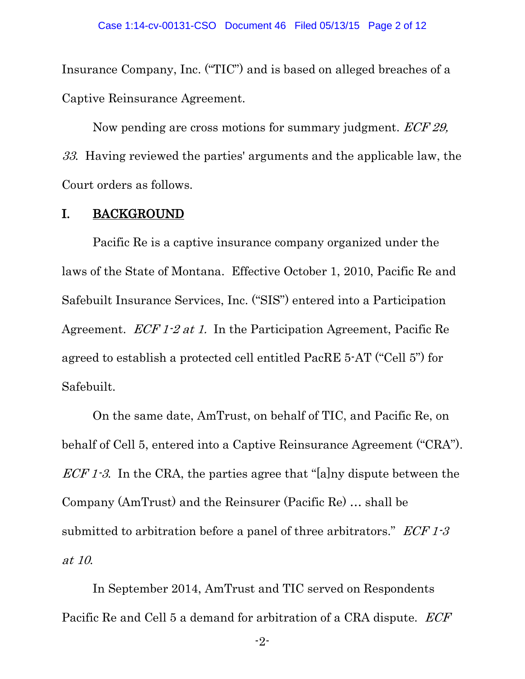Insurance Company, Inc. ("TIC") and is based on alleged breaches of a Captive Reinsurance Agreement.

Now pending are cross motions for summary judgment. *ECF 29*, 33. Having reviewed the parties' arguments and the applicable law, the Court orders as follows.

### I. BACKGROUND

Pacific Re is a captive insurance company organized under the laws of the State of Montana. Effective October 1, 2010, Pacific Re and Safebuilt Insurance Services, Inc. ("SIS") entered into a Participation Agreement. ECF 1-2 at 1. In the Participation Agreement, Pacific Re agreed to establish a protected cell entitled PacRE 5-AT ("Cell 5") for Safebuilt.

On the same date, AmTrust, on behalf of TIC, and Pacific Re, on behalf of Cell 5, entered into a Captive Reinsurance Agreement ("CRA").  $ECF 1-3$ . In the CRA, the parties agree that "[a]ny dispute between the Company (AmTrust) and the Reinsurer (Pacific Re) … shall be submitted to arbitration before a panel of three arbitrators."  $ECF 1-3$ at 10.

In September 2014, AmTrust and TIC served on Respondents Pacific Re and Cell 5 a demand for arbitration of a CRA dispute. *ECF*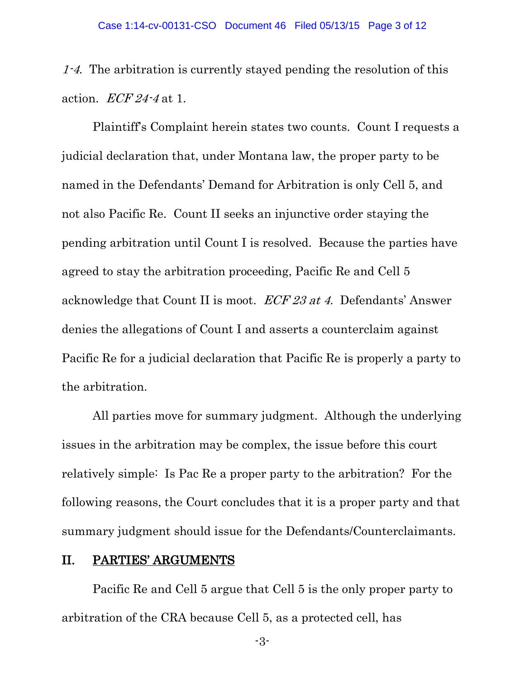1-4. The arbitration is currently stayed pending the resolution of this action.  $ECF24-4$  at 1.

Plaintiff's Complaint herein states two counts. Count I requests a judicial declaration that, under Montana law, the proper party to be named in the Defendants' Demand for Arbitration is only Cell 5, and not also Pacific Re. Count II seeks an injunctive order staying the pending arbitration until Count I is resolved. Because the parties have agreed to stay the arbitration proceeding, Pacific Re and Cell 5 acknowledge that Count II is moot. ECF 23 at 4. Defendants' Answer denies the allegations of Count I and asserts a counterclaim against Pacific Re for a judicial declaration that Pacific Re is properly a party to the arbitration.

All parties move for summary judgment. Although the underlying issues in the arbitration may be complex, the issue before this court relatively simple: Is Pac Re a proper party to the arbitration? For the following reasons, the Court concludes that it is a proper party and that summary judgment should issue for the Defendants/Counterclaimants.

#### II. PARTIES' ARGUMENTS

 Pacific Re and Cell 5 argue that Cell 5 is the only proper party to arbitration of the CRA because Cell 5, as a protected cell, has

-3-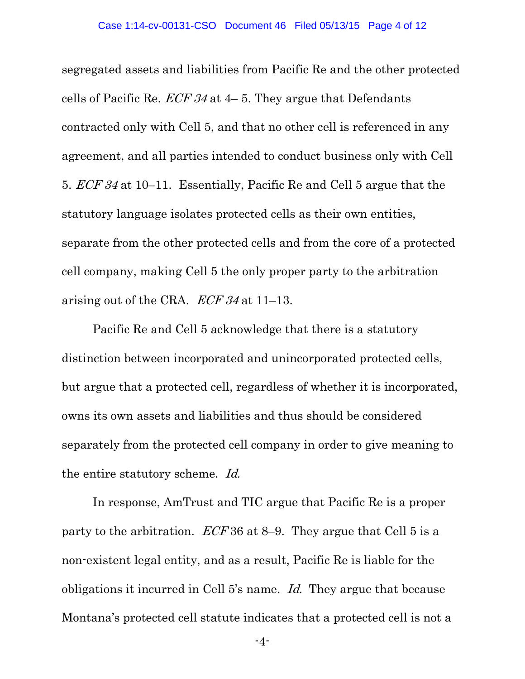segregated assets and liabilities from Pacific Re and the other protected cells of Pacific Re.  $ECF 34$  at 4–5. They argue that Defendants contracted only with Cell 5, and that no other cell is referenced in any agreement, and all parties intended to conduct business only with Cell 5. ECF 34 at 10–11. Essentially, Pacific Re and Cell 5 argue that the statutory language isolates protected cells as their own entities, separate from the other protected cells and from the core of a protected cell company, making Cell 5 the only proper party to the arbitration arising out of the CRA. ECF 34 at 11–13.

Pacific Re and Cell 5 acknowledge that there is a statutory distinction between incorporated and unincorporated protected cells, but argue that a protected cell, regardless of whether it is incorporated, owns its own assets and liabilities and thus should be considered separately from the protected cell company in order to give meaning to the entire statutory scheme. Id.

In response, AmTrust and TIC argue that Pacific Re is a proper party to the arbitration.  $ECF36$  at 8–9. They argue that Cell 5 is a non-existent legal entity, and as a result, Pacific Re is liable for the obligations it incurred in Cell 5's name. Id. They argue that because Montana's protected cell statute indicates that a protected cell is not a

-4-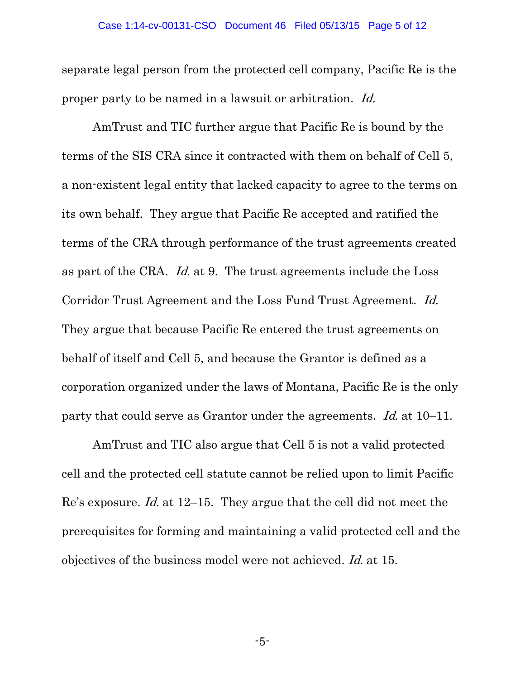separate legal person from the protected cell company, Pacific Re is the proper party to be named in a lawsuit or arbitration. Id.

AmTrust and TIC further argue that Pacific Re is bound by the terms of the SIS CRA since it contracted with them on behalf of Cell 5, a non-existent legal entity that lacked capacity to agree to the terms on its own behalf. They argue that Pacific Re accepted and ratified the terms of the CRA through performance of the trust agreements created as part of the CRA. Id. at 9. The trust agreements include the Loss Corridor Trust Agreement and the Loss Fund Trust Agreement. Id. They argue that because Pacific Re entered the trust agreements on behalf of itself and Cell 5, and because the Grantor is defined as a corporation organized under the laws of Montana, Pacific Re is the only party that could serve as Grantor under the agreements. Id. at 10–11.

AmTrust and TIC also argue that Cell 5 is not a valid protected cell and the protected cell statute cannot be relied upon to limit Pacific Re's exposure. Id. at 12–15. They argue that the cell did not meet the prerequisites for forming and maintaining a valid protected cell and the objectives of the business model were not achieved. Id. at 15.

-5-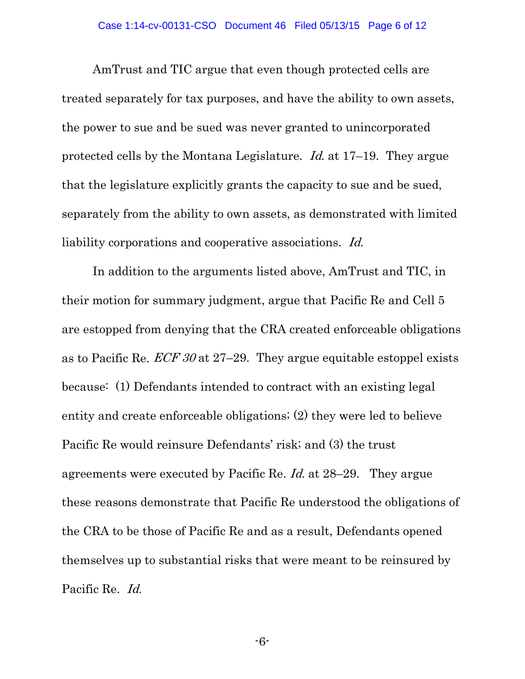AmTrust and TIC argue that even though protected cells are treated separately for tax purposes, and have the ability to own assets, the power to sue and be sued was never granted to unincorporated protected cells by the Montana Legislature. Id. at 17–19. They argue that the legislature explicitly grants the capacity to sue and be sued, separately from the ability to own assets, as demonstrated with limited liability corporations and cooperative associations. Id.

In addition to the arguments listed above, AmTrust and TIC, in their motion for summary judgment, argue that Pacific Re and Cell 5 are estopped from denying that the CRA created enforceable obligations as to Pacific Re.  $ECF 30$  at 27–29. They argue equitable estoppel exists because: (1) Defendants intended to contract with an existing legal entity and create enforceable obligations; (2) they were led to believe Pacific Re would reinsure Defendants' risk; and (3) the trust agreements were executed by Pacific Re. Id. at 28–29. They argue these reasons demonstrate that Pacific Re understood the obligations of the CRA to be those of Pacific Re and as a result, Defendants opened themselves up to substantial risks that were meant to be reinsured by Pacific Re. Id.

-6-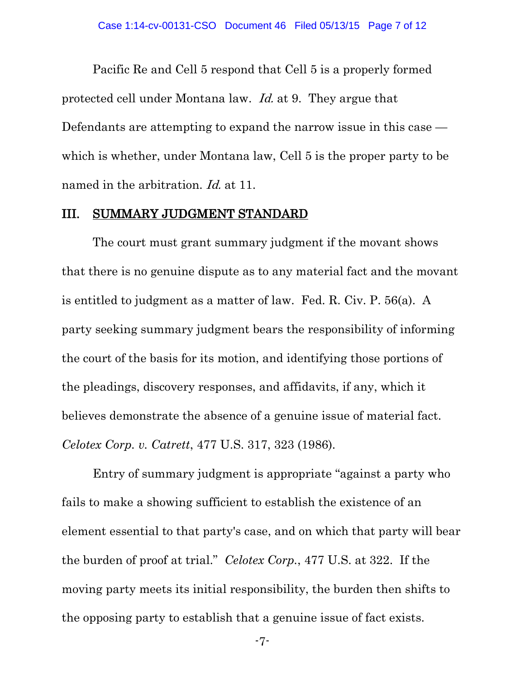Pacific Re and Cell 5 respond that Cell 5 is a properly formed protected cell under Montana law. Id. at 9. They argue that Defendants are attempting to expand the narrow issue in this case which is whether, under Montana law, Cell 5 is the proper party to be named in the arbitration. *Id.* at 11.

#### III. SUMMARY JUDGMENT STANDARD

The court must grant summary judgment if the movant shows that there is no genuine dispute as to any material fact and the movant is entitled to judgment as a matter of law. Fed. R. Civ. P. 56(a). A party seeking summary judgment bears the responsibility of informing the court of the basis for its motion, and identifying those portions of the pleadings, discovery responses, and affidavits, if any, which it believes demonstrate the absence of a genuine issue of material fact. *Celotex Corp. v. Catrett*, 477 U.S. 317, 323 (1986).

Entry of summary judgment is appropriate "against a party who fails to make a showing sufficient to establish the existence of an element essential to that party's case, and on which that party will bear the burden of proof at trial." *Celotex Corp.*, 477 U.S. at 322. If the moving party meets its initial responsibility, the burden then shifts to the opposing party to establish that a genuine issue of fact exists.

-7-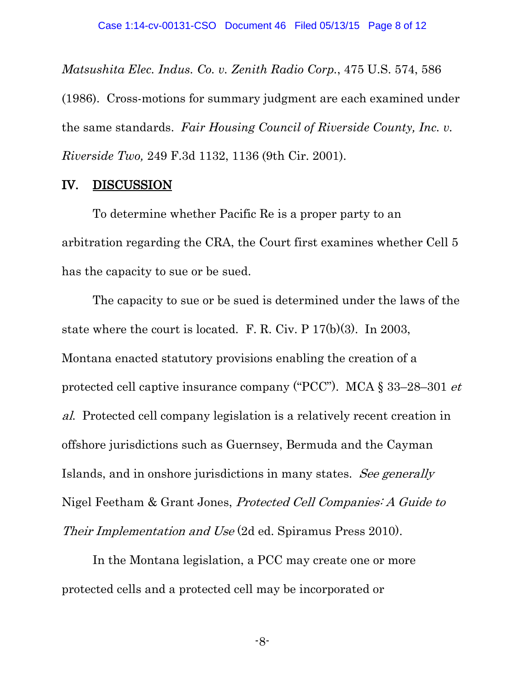*Matsushita Elec. Indus. Co. v. Zenith Radio Corp.*, 475 U.S. 574, 586 (1986). Cross-motions for summary judgment are each examined under the same standards. *Fair Housing Council of Riverside County, Inc. v. Riverside Two,* 249 F.3d 1132, 1136 (9th Cir. 2001).

## IV. DISCUSSION

To determine whether Pacific Re is a proper party to an arbitration regarding the CRA, the Court first examines whether Cell 5 has the capacity to sue or be sued.

The capacity to sue or be sued is determined under the laws of the state where the court is located. F. R. Civ. P 17(b)(3). In 2003, Montana enacted statutory provisions enabling the creation of a protected cell captive insurance company ("PCC"). MCA § 33–28–301 et al. Protected cell company legislation is a relatively recent creation in offshore jurisdictions such as Guernsey, Bermuda and the Cayman Islands, and in onshore jurisdictions in many states. See generally Nigel Feetham & Grant Jones, Protected Cell Companies: A Guide to Their Implementation and Use (2d ed. Spiramus Press 2010).

In the Montana legislation, a PCC may create one or more protected cells and a protected cell may be incorporated or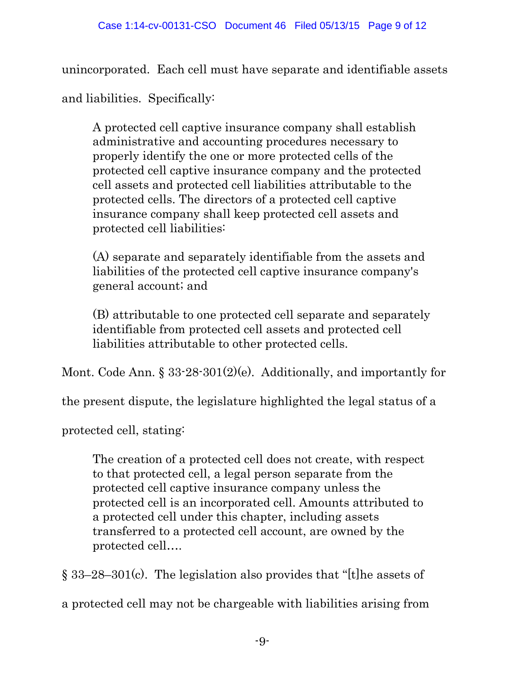unincorporated. Each cell must have separate and identifiable assets

and liabilities. Specifically:

A protected cell captive insurance company shall establish administrative and accounting procedures necessary to properly identify the one or more protected cells of the protected cell captive insurance company and the protected cell assets and protected cell liabilities attributable to the protected cells. The directors of a protected cell captive insurance company shall keep protected cell assets and protected cell liabilities:

(A) separate and separately identifiable from the assets and liabilities of the protected cell captive insurance company's general account; and

(B) attributable to one protected cell separate and separately identifiable from protected cell assets and protected cell liabilities attributable to other protected cells.

Mont. Code Ann. § 33-28-301(2)(e). Additionally, and importantly for

the present dispute, the legislature highlighted the legal status of a

protected cell, stating:

The creation of a protected cell does not create, with respect to that protected cell, a legal person separate from the protected cell captive insurance company unless the protected cell is an incorporated cell. Amounts attributed to a protected cell under this chapter, including assets transferred to a protected cell account, are owned by the protected cell….

§ 33–28–301(c). The legislation also provides that "[t]he assets of a protected cell may not be chargeable with liabilities arising from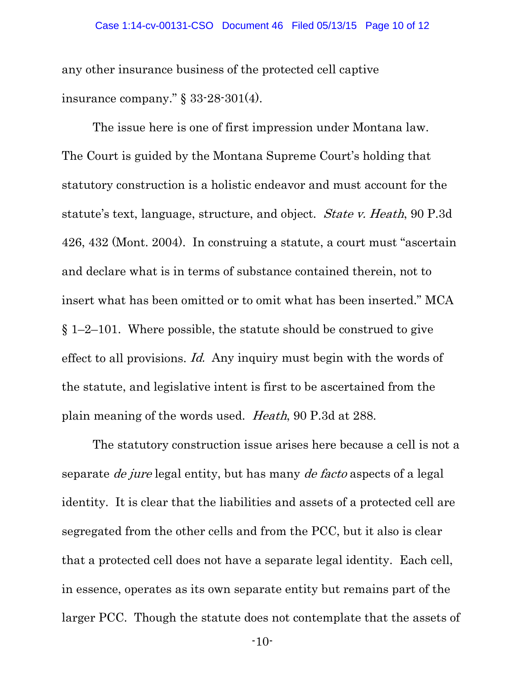any other insurance business of the protected cell captive insurance company." § 33-28-301(4).

The issue here is one of first impression under Montana law. The Court is guided by the Montana Supreme Court's holding that statutory construction is a holistic endeavor and must account for the statute's text, language, structure, and object. State v. Heath, 90 P.3d 426, 432 (Mont. 2004). In construing a statute, a court must "ascertain and declare what is in terms of substance contained therein, not to insert what has been omitted or to omit what has been inserted." MCA  $\S 1-2-101$ . Where possible, the statute should be construed to give effect to all provisions. Id. Any inquiry must begin with the words of the statute, and legislative intent is first to be ascertained from the plain meaning of the words used. Heath, 90 P.3d at 288.

The statutory construction issue arises here because a cell is not a separate de jure legal entity, but has many de facto aspects of a legal identity. It is clear that the liabilities and assets of a protected cell are segregated from the other cells and from the PCC, but it also is clear that a protected cell does not have a separate legal identity. Each cell, in essence, operates as its own separate entity but remains part of the larger PCC. Though the statute does not contemplate that the assets of

-10-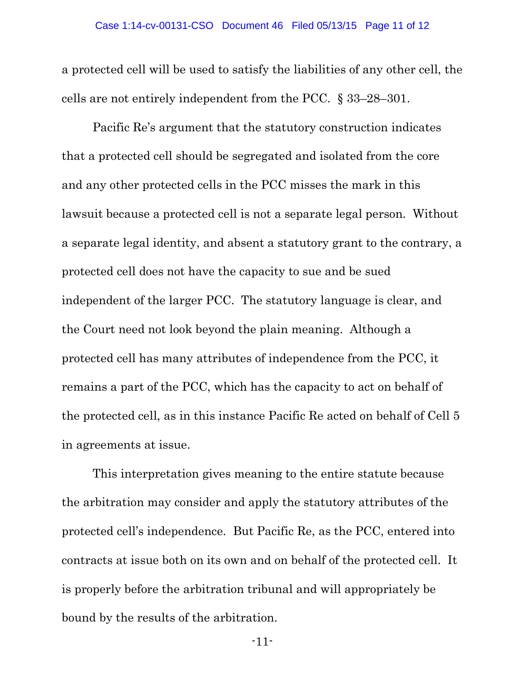a protected cell will be used to satisfy the liabilities of any other cell, the cells are not entirely independent from the PCC. § 33–28–301.

Pacific Re's argument that the statutory construction indicates that a protected cell should be segregated and isolated from the core and any other protected cells in the PCC misses the mark in this lawsuit because a protected cell is not a separate legal person. Without a separate legal identity, and absent a statutory grant to the contrary, a protected cell does not have the capacity to sue and be sued independent of the larger PCC. The statutory language is clear, and the Court need not look beyond the plain meaning. Although a protected cell has many attributes of independence from the PCC, it remains a part of the PCC, which has the capacity to act on behalf of the protected cell, as in this instance Pacific Re acted on behalf of Cell 5 in agreements at issue.

This interpretation gives meaning to the entire statute because the arbitration may consider and apply the statutory attributes of the protected cell's independence. But Pacific Re, as the PCC, entered into contracts at issue both on its own and on behalf of the protected cell. It is properly before the arbitration tribunal and will appropriately be bound by the results of the arbitration.